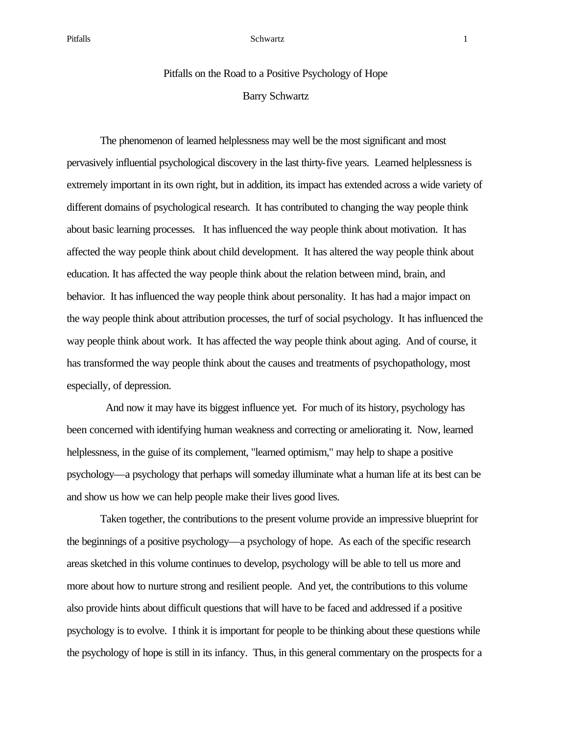Pitfalls 1 and 2 and 2 and 2 schwartz 2 and 2 and 2 and 2 and 2 and 2 and 2 and 2 and 2 and 2 and 2 and 2 and 2 and 2 and 2 and 2 and 2 and 2 and 2 and 2 and 2 and 2 and 2 and 2 and 2 and 2 and 2 and 2 and 2 and 2 and 2 an

# Pitfalls on the Road to a Positive Psychology of Hope Barry Schwartz

The phenomenon of learned helplessness may well be the most significant and most pervasively influential psychological discovery in the last thirty-five years. Learned helplessness is extremely important in its own right, but in addition, its impact has extended across a wide variety of different domains of psychological research. It has contributed to changing the way people think about basic learning processes. It has influenced the way people think about motivation. It has affected the way people think about child development. It has altered the way people think about education. It has affected the way people think about the relation between mind, brain, and behavior. It has influenced the way people think about personality. It has had a major impact on the way people think about attribution processes, the turf of social psychology. It has influenced the way people think about work. It has affected the way people think about aging. And of course, it has transformed the way people think about the causes and treatments of psychopathology, most especially, of depression.

 And now it may have its biggest influence yet. For much of its history, psychology has been concerned with identifying human weakness and correcting or ameliorating it. Now, learned helplessness, in the guise of its complement, "learned optimism," may help to shape a positive psychology—a psychology that perhaps will someday illuminate what a human life at its best can be and show us how we can help people make their lives good lives.

Taken together, the contributions to the present volume provide an impressive blueprint for the beginnings of a positive psychology—a psychology of hope. As each of the specific research areas sketched in this volume continues to develop, psychology will be able to tell us more and more about how to nurture strong and resilient people. And yet, the contributions to this volume also provide hints about difficult questions that will have to be faced and addressed if a positive psychology is to evolve. I think it is important for people to be thinking about these questions while the psychology of hope is still in its infancy. Thus, in this general commentary on the prospects for a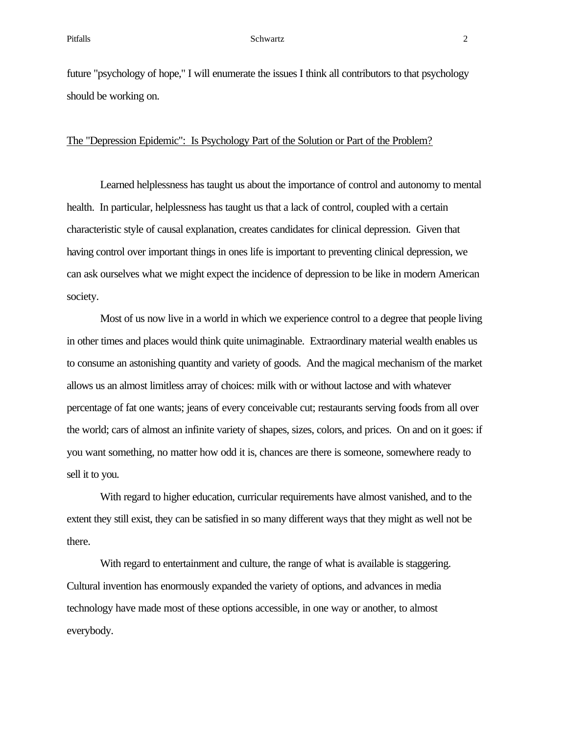future "psychology of hope," I will enumerate the issues I think all contributors to that psychology should be working on.

## The "Depression Epidemic": Is Psychology Part of the Solution or Part of the Problem?

Learned helplessness has taught us about the importance of control and autonomy to mental health. In particular, helplessness has taught us that a lack of control, coupled with a certain characteristic style of causal explanation, creates candidates for clinical depression. Given that having control over important things in ones life is important to preventing clinical depression, we can ask ourselves what we might expect the incidence of depression to be like in modern American society.

Most of us now live in a world in which we experience control to a degree that people living in other times and places would think quite unimaginable. Extraordinary material wealth enables us to consume an astonishing quantity and variety of goods. And the magical mechanism of the market allows us an almost limitless array of choices: milk with or without lactose and with whatever percentage of fat one wants; jeans of every conceivable cut; restaurants serving foods from all over the world; cars of almost an infinite variety of shapes, sizes, colors, and prices. On and on it goes: if you want something, no matter how odd it is, chances are there is someone, somewhere ready to sell it to you.

With regard to higher education, curricular requirements have almost vanished, and to the extent they still exist, they can be satisfied in so many different ways that they might as well not be there.

With regard to entertainment and culture, the range of what is available is staggering. Cultural invention has enormously expanded the variety of options, and advances in media technology have made most of these options accessible, in one way or another, to almost everybody.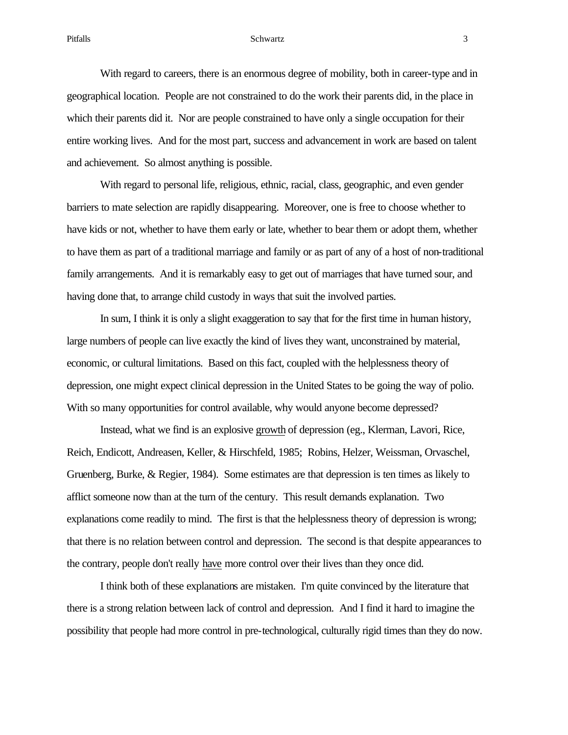#### Pitfalls 3 and 3 and 3 and 3 schwartz 3 3 and 3 and 3 and 3 and 3 and 3 and 3 and 3 and 3 and 3 and 3 and 3 and 3 and 3 and 3 and 3 and 3 and 3 and 3 and 3 and 3 and 3 and 3 and 3 and 3 and 3 and 3 and 3 and 3 and 3 and 3

With regard to careers, there is an enormous degree of mobility, both in career-type and in geographical location. People are not constrained to do the work their parents did, in the place in which their parents did it. Nor are people constrained to have only a single occupation for their entire working lives. And for the most part, success and advancement in work are based on talent and achievement. So almost anything is possible.

With regard to personal life, religious, ethnic, racial, class, geographic, and even gender barriers to mate selection are rapidly disappearing. Moreover, one is free to choose whether to have kids or not, whether to have them early or late, whether to bear them or adopt them, whether to have them as part of a traditional marriage and family or as part of any of a host of non-traditional family arrangements. And it is remarkably easy to get out of marriages that have turned sour, and having done that, to arrange child custody in ways that suit the involved parties.

In sum, I think it is only a slight exaggeration to say that for the first time in human history, large numbers of people can live exactly the kind of lives they want, unconstrained by material, economic, or cultural limitations. Based on this fact, coupled with the helplessness theory of depression, one might expect clinical depression in the United States to be going the way of polio. With so many opportunities for control available, why would anyone become depressed?

Instead, what we find is an explosive growth of depression (eg., Klerman, Lavori, Rice, Reich, Endicott, Andreasen, Keller, & Hirschfeld, 1985; Robins, Helzer, Weissman, Orvaschel, Gruenberg, Burke, & Regier, 1984). Some estimates are that depression is ten times as likely to afflict someone now than at the turn of the century. This result demands explanation. Two explanations come readily to mind. The first is that the helplessness theory of depression is wrong; that there is no relation between control and depression. The second is that despite appearances to the contrary, people don't really have more control over their lives than they once did.

I think both of these explanations are mistaken. I'm quite convinced by the literature that there is a strong relation between lack of control and depression. And I find it hard to imagine the possibility that people had more control in pre-technological, culturally rigid times than they do now.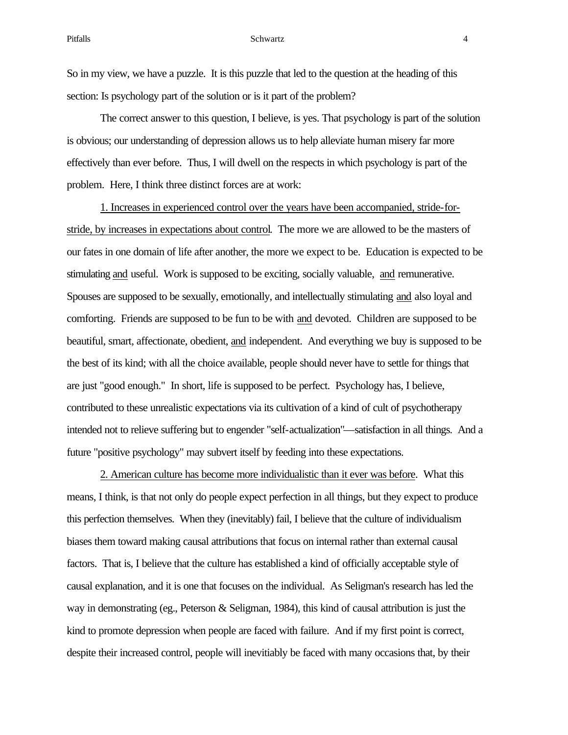#### Pitfalls 4 and 2008 Schwartz 3 and 3 and 3 and 3 and 3 and 3 and 3 and 3 and 3 and 3 and 3 and 3 and 3 and 4 and 3 and 4 and 3 and 4 and 4 and 4 and 4 and 4 and 4 and 4 and 4 and 4 and 4 and 4 and 4 and 4 and 4 and 4 and 4

So in my view, we have a puzzle. It is this puzzle that led to the question at the heading of this section: Is psychology part of the solution or is it part of the problem?

The correct answer to this question, I believe, is yes. That psychology is part of the solution is obvious; our understanding of depression allows us to help alleviate human misery far more effectively than ever before. Thus, I will dwell on the respects in which psychology is part of the problem. Here, I think three distinct forces are at work:

1. Increases in experienced control over the years have been accompanied, stride-forstride, by increases in expectations about control. The more we are allowed to be the masters of our fates in one domain of life after another, the more we expect to be. Education is expected to be stimulating and useful. Work is supposed to be exciting, socially valuable, and remunerative. Spouses are supposed to be sexually, emotionally, and intellectually stimulating and also loyal and comforting. Friends are supposed to be fun to be with and devoted. Children are supposed to be beautiful, smart, affectionate, obedient, and independent. And everything we buy is supposed to be the best of its kind; with all the choice available, people should never have to settle for things that are just "good enough." In short, life is supposed to be perfect. Psychology has, I believe, contributed to these unrealistic expectations via its cultivation of a kind of cult of psychotherapy intended not to relieve suffering but to engender "self-actualization"—satisfaction in all things. And a future "positive psychology" may subvert itself by feeding into these expectations.

2. American culture has become more individualistic than it ever was before. What this means, I think, is that not only do people expect perfection in all things, but they expect to produce this perfection themselves. When they (inevitably) fail, I believe that the culture of individualism biases them toward making causal attributions that focus on internal rather than external causal factors. That is, I believe that the culture has established a kind of officially acceptable style of causal explanation, and it is one that focuses on the individual. As Seligman's research has led the way in demonstrating (eg., Peterson & Seligman, 1984), this kind of causal attribution is just the kind to promote depression when people are faced with failure. And if my first point is correct, despite their increased control, people will inevitiably be faced with many occasions that, by their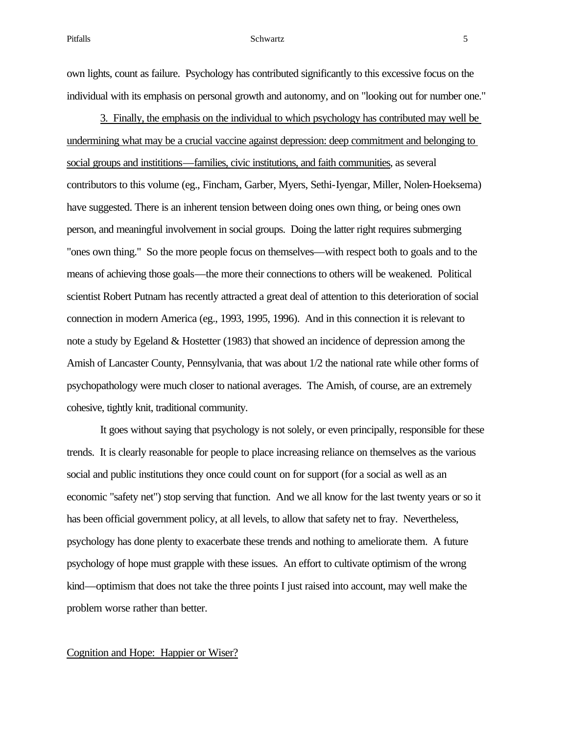#### Pitfalls 5 and 3 and 3 Schwartz 5 and 3 and 3 schwartz 5 3 and 3 and 3 and 3 and 3 and 3 and 3 and 3 and 3 and 3 and 3 and 3 and 3 and 3 and 3 and 3 and 3 and 3 and 3 and 3 and 3 and 3 and 3 and 3 and 3 and 3 and 3 and 3 a

own lights, count as failure. Psychology has contributed significantly to this excessive focus on the individual with its emphasis on personal growth and autonomy, and on "looking out for number one."

3. Finally, the emphasis on the individual to which psychology has contributed may well be undermining what may be a crucial vaccine against depression: deep commitment and belonging to social groups and instititions—families, civic institutions, and faith communities, as several contributors to this volume (eg., Fincham, Garber, Myers, Sethi-Iyengar, Miller, Nolen-Hoeksema) have suggested. There is an inherent tension between doing ones own thing, or being ones own person, and meaningful involvement in social groups. Doing the latter right requires submerging "ones own thing." So the more people focus on themselves—with respect both to goals and to the means of achieving those goals—the more their connections to others will be weakened. Political scientist Robert Putnam has recently attracted a great deal of attention to this deterioration of social connection in modern America (eg., 1993, 1995, 1996). And in this connection it is relevant to note a study by Egeland & Hostetter (1983) that showed an incidence of depression among the Amish of Lancaster County, Pennsylvania, that was about 1/2 the national rate while other forms of psychopathology were much closer to national averages. The Amish, of course, are an extremely cohesive, tightly knit, traditional community.

It goes without saying that psychology is not solely, or even principally, responsible for these trends. It is clearly reasonable for people to place increasing reliance on themselves as the various social and public institutions they once could count on for support (for a social as well as an economic "safety net") stop serving that function. And we all know for the last twenty years or so it has been official government policy, at all levels, to allow that safety net to fray. Nevertheless, psychology has done plenty to exacerbate these trends and nothing to ameliorate them. A future psychology of hope must grapple with these issues. An effort to cultivate optimism of the wrong kind—optimism that does not take the three points I just raised into account, may well make the problem worse rather than better.

## Cognition and Hope: Happier or Wiser?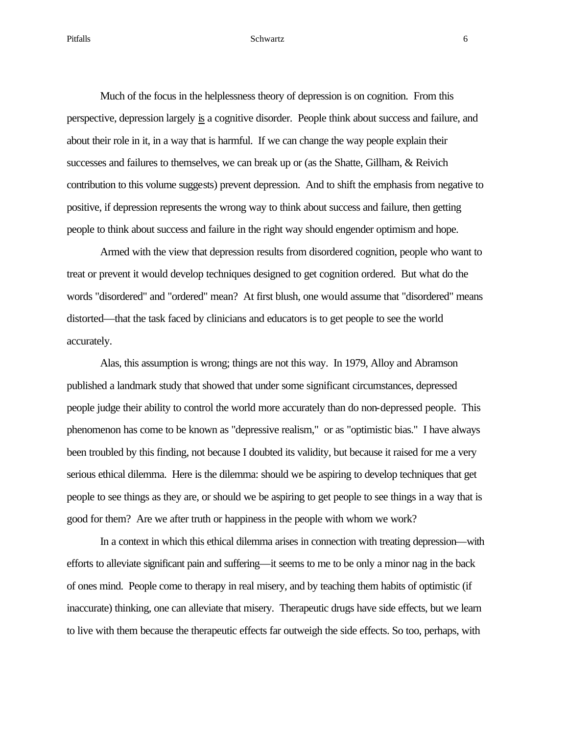#### Pitfalls 6 and 3 and 3 and 3 and 3 and 3 and 3 and 3 and 3 and 3 and 3 and 3 and 3 and 3 and 3 and 3 and 3 and 3 and 3 and 3 and 3 and 3 and 3 and 3 and 3 and 3 and 3 and 3 and 3 and 3 and 3 and 3 and 3 and 3 and 3 and 3 a

Much of the focus in the helplessness theory of depression is on cognition. From this perspective, depression largely is a cognitive disorder. People think about success and failure, and about their role in it, in a way that is harmful. If we can change the way people explain their successes and failures to themselves, we can break up or (as the Shatte, Gillham, & Reivich contribution to this volume suggests) prevent depression. And to shift the emphasis from negative to positive, if depression represents the wrong way to think about success and failure, then getting people to think about success and failure in the right way should engender optimism and hope.

Armed with the view that depression results from disordered cognition, people who want to treat or prevent it would develop techniques designed to get cognition ordered. But what do the words "disordered" and "ordered" mean? At first blush, one would assume that "disordered" means distorted—that the task faced by clinicians and educators is to get people to see the world accurately.

Alas, this assumption is wrong; things are not this way. In 1979, Alloy and Abramson published a landmark study that showed that under some significant circumstances, depressed people judge their ability to control the world more accurately than do non-depressed people. This phenomenon has come to be known as "depressive realism," or as "optimistic bias." I have always been troubled by this finding, not because I doubted its validity, but because it raised for me a very serious ethical dilemma. Here is the dilemma: should we be aspiring to develop techniques that get people to see things as they are, or should we be aspiring to get people to see things in a way that is good for them? Are we after truth or happiness in the people with whom we work?

In a context in which this ethical dilemma arises in connection with treating depression—with efforts to alleviate significant pain and suffering—it seems to me to be only a minor nag in the back of ones mind. People come to therapy in real misery, and by teaching them habits of optimistic (if inaccurate) thinking, one can alleviate that misery. Therapeutic drugs have side effects, but we learn to live with them because the therapeutic effects far outweigh the side effects. So too, perhaps, with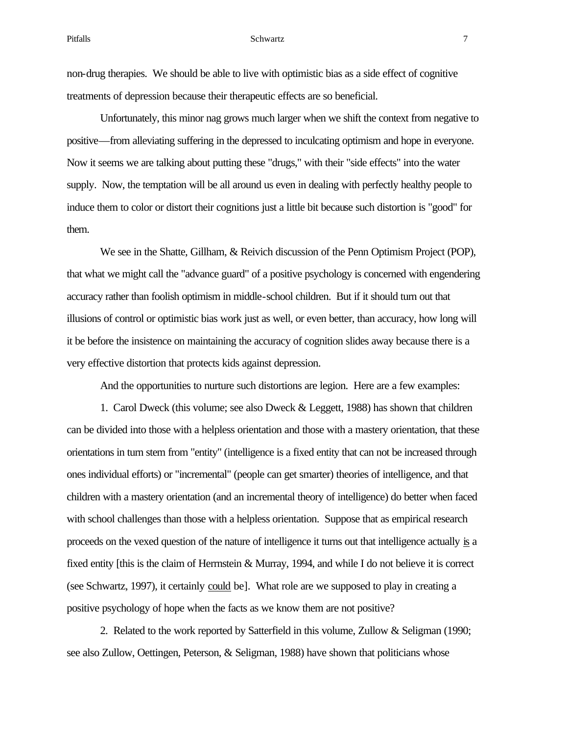#### Pitfalls **Schwartz** 7

non-drug therapies. We should be able to live with optimistic bias as a side effect of cognitive treatments of depression because their therapeutic effects are so beneficial.

Unfortunately, this minor nag grows much larger when we shift the context from negative to positive—from alleviating suffering in the depressed to inculcating optimism and hope in everyone. Now it seems we are talking about putting these "drugs," with their "side effects" into the water supply. Now, the temptation will be all around us even in dealing with perfectly healthy people to induce them to color or distort their cognitions just a little bit because such distortion is "good" for them.

We see in the Shatte, Gillham, & Reivich discussion of the Penn Optimism Project (POP), that what we might call the "advance guard" of a positive psychology is concerned with engendering accuracy rather than foolish optimism in middle-school children. But if it should turn out that illusions of control or optimistic bias work just as well, or even better, than accuracy, how long will it be before the insistence on maintaining the accuracy of cognition slides away because there is a very effective distortion that protects kids against depression.

And the opportunities to nurture such distortions are legion. Here are a few examples:

1. Carol Dweck (this volume; see also Dweck & Leggett, 1988) has shown that children can be divided into those with a helpless orientation and those with a mastery orientation, that these orientations in turn stem from "entity" (intelligence is a fixed entity that can not be increased through ones individual efforts) or "incremental" (people can get smarter) theories of intelligence, and that children with a mastery orientation (and an incremental theory of intelligence) do better when faced with school challenges than those with a helpless orientation. Suppose that as empirical research proceeds on the vexed question of the nature of intelligence it turns out that intelligence actually is a fixed entity [this is the claim of Herrnstein & Murray, 1994, and while I do not believe it is correct (see Schwartz, 1997), it certainly could be]. What role are we supposed to play in creating a positive psychology of hope when the facts as we know them are not positive?

2. Related to the work reported by Satterfield in this volume, Zullow & Seligman (1990; see also Zullow, Oettingen, Peterson, & Seligman, 1988) have shown that politicians whose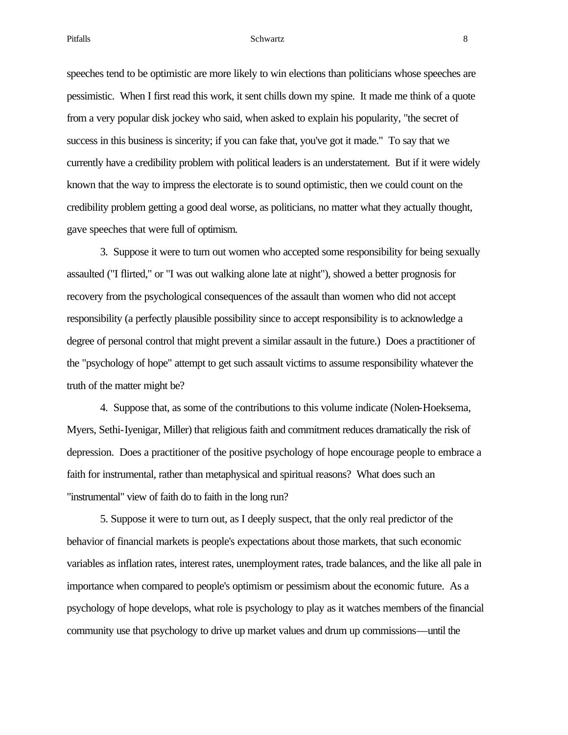#### Pitfalls 8 and 2012 Schwartz 3 and 3 and 3 and 3 and 3 and 3 and 3 and 3 and 3 and 3 and 3 and 3 and 3 and 3 and 3 and 3 and 3 and 3 and 3 and 3 and 3 and 3 and 3 and 3 and 3 and 3 and 3 and 3 and 3 and 3 and 3 and 3 and 3

speeches tend to be optimistic are more likely to win elections than politicians whose speeches are pessimistic. When I first read this work, it sent chills down my spine. It made me think of a quote from a very popular disk jockey who said, when asked to explain his popularity, "the secret of success in this business is sincerity; if you can fake that, you've got it made." To say that we currently have a credibility problem with political leaders is an understatement. But if it were widely known that the way to impress the electorate is to sound optimistic, then we could count on the credibility problem getting a good deal worse, as politicians, no matter what they actually thought, gave speeches that were full of optimism.

3. Suppose it were to turn out women who accepted some responsibility for being sexually assaulted ("I flirted," or "I was out walking alone late at night"), showed a better prognosis for recovery from the psychological consequences of the assault than women who did not accept responsibility (a perfectly plausible possibility since to accept responsibility is to acknowledge a degree of personal control that might prevent a similar assault in the future.) Does a practitioner of the "psychology of hope" attempt to get such assault victims to assume responsibility whatever the truth of the matter might be?

4. Suppose that, as some of the contributions to this volume indicate (Nolen-Hoeksema, Myers, Sethi-Iyenigar, Miller) that religious faith and commitment reduces dramatically the risk of depression. Does a practitioner of the positive psychology of hope encourage people to embrace a faith for instrumental, rather than metaphysical and spiritual reasons? What does such an "instrumental" view of faith do to faith in the long run?

5. Suppose it were to turn out, as I deeply suspect, that the only real predictor of the behavior of financial markets is people's expectations about those markets, that such economic variables as inflation rates, interest rates, unemployment rates, trade balances, and the like all pale in importance when compared to people's optimism or pessimism about the economic future. As a psychology of hope develops, what role is psychology to play as it watches members of the financial community use that psychology to drive up market values and drum up commissions—until the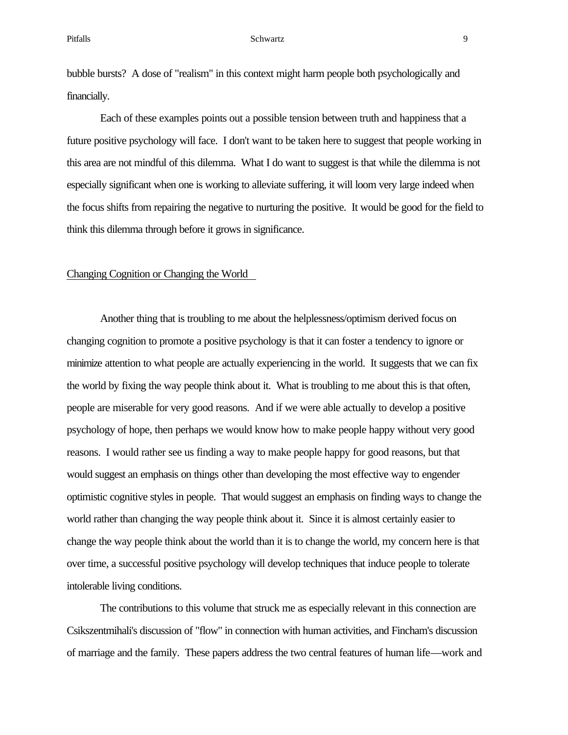#### Pitfalls 30 and 200 and 200 and 200 and 200 and 200 and 200 and 200 and 200 and 200 and 200 and 200 and 200 and 200 and 200 and 200 and 200 and 200 and 200 and 200 and 200 and 200 and 200 and 200 and 200 and 200 and 200 an

bubble bursts? A dose of "realism" in this context might harm people both psychologically and financially.

Each of these examples points out a possible tension between truth and happiness that a future positive psychology will face. I don't want to be taken here to suggest that people working in this area are not mindful of this dilemma. What I do want to suggest is that while the dilemma is not especially significant when one is working to alleviate suffering, it will loom very large indeed when the focus shifts from repairing the negative to nurturing the positive. It would be good for the field to think this dilemma through before it grows in significance.

### Changing Cognition or Changing the World

Another thing that is troubling to me about the helplessness/optimism derived focus on changing cognition to promote a positive psychology is that it can foster a tendency to ignore or minimize attention to what people are actually experiencing in the world. It suggests that we can fix the world by fixing the way people think about it. What is troubling to me about this is that often, people are miserable for very good reasons. And if we were able actually to develop a positive psychology of hope, then perhaps we would know how to make people happy without very good reasons. I would rather see us finding a way to make people happy for good reasons, but that would suggest an emphasis on things other than developing the most effective way to engender optimistic cognitive styles in people. That would suggest an emphasis on finding ways to change the world rather than changing the way people think about it. Since it is almost certainly easier to change the way people think about the world than it is to change the world, my concern here is that over time, a successful positive psychology will develop techniques that induce people to tolerate intolerable living conditions.

The contributions to this volume that struck me as especially relevant in this connection are Csikszentmihali's discussion of "flow" in connection with human activities, and Fincham's discussion of marriage and the family. These papers address the two central features of human life—work and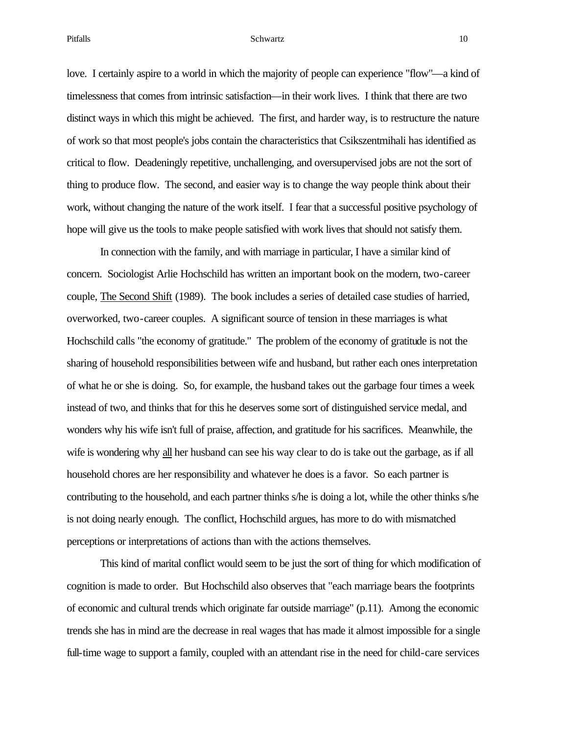love. I certainly aspire to a world in which the majority of people can experience "flow"—a kind of timelessness that comes from intrinsic satisfaction—in their work lives. I think that there are two distinct ways in which this might be achieved. The first, and harder way, is to restructure the nature of work so that most people's jobs contain the characteristics that Csikszentmihali has identified as critical to flow. Deadeningly repetitive, unchallenging, and oversupervised jobs are not the sort of thing to produce flow. The second, and easier way is to change the way people think about their work, without changing the nature of the work itself. I fear that a successful positive psychology of hope will give us the tools to make people satisfied with work lives that should not satisfy them.

In connection with the family, and with marriage in particular, I have a similar kind of concern. Sociologist Arlie Hochschild has written an important book on the modern, two-career couple, The Second Shift (1989). The book includes a series of detailed case studies of harried, overworked, two-career couples. A significant source of tension in these marriages is what Hochschild calls "the economy of gratitude." The problem of the economy of gratitude is not the sharing of household responsibilities between wife and husband, but rather each ones interpretation of what he or she is doing. So, for example, the husband takes out the garbage four times a week instead of two, and thinks that for this he deserves some sort of distinguished service medal, and wonders why his wife isn't full of praise, affection, and gratitude for his sacrifices. Meanwhile, the wife is wondering why all her husband can see his way clear to do is take out the garbage, as if all household chores are her responsibility and whatever he does is a favor. So each partner is contributing to the household, and each partner thinks s/he is doing a lot, while the other thinks s/he is not doing nearly enough. The conflict, Hochschild argues, has more to do with mismatched perceptions or interpretations of actions than with the actions themselves.

This kind of marital conflict would seem to be just the sort of thing for which modification of cognition is made to order. But Hochschild also observes that "each marriage bears the footprints of economic and cultural trends which originate far outside marriage" (p.11). Among the economic trends she has in mind are the decrease in real wages that has made it almost impossible for a single full-time wage to support a family, coupled with an attendant rise in the need for child-care services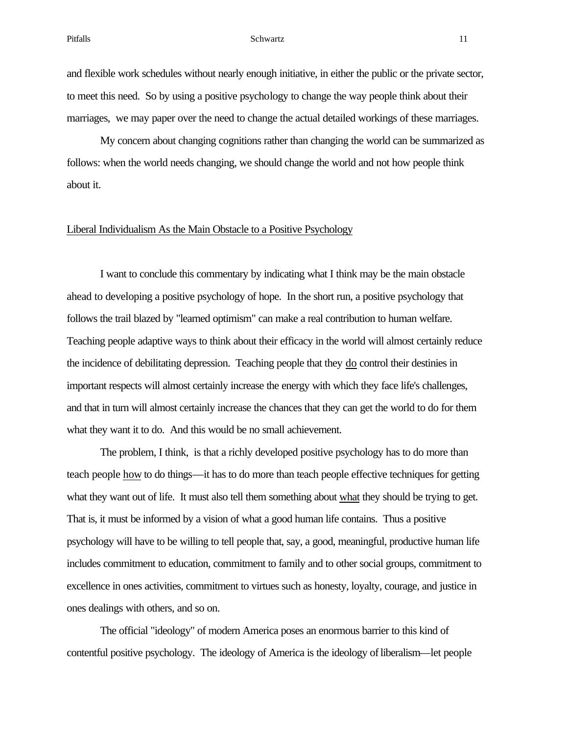#### Pitfalls 11 and 2012 11 and 2012 12 and 2012 12 and 2012 12 and 2012 12 and 2012 12 and 2012 12 and 2012 12 and 2012 12 and 2012 12 and 2012 12 and 2012 12 and 2012 12 and 2012 12 and 2012 12 and 2012 12 and 2012 12 and 20

and flexible work schedules without nearly enough initiative, in either the public or the private sector, to meet this need. So by using a positive psychology to change the way people think about their marriages, we may paper over the need to change the actual detailed workings of these marriages.

My concern about changing cognitions rather than changing the world can be summarized as follows: when the world needs changing, we should change the world and not how people think about it.

## Liberal Individualism As the Main Obstacle to a Positive Psychology

I want to conclude this commentary by indicating what I think may be the main obstacle ahead to developing a positive psychology of hope. In the short run, a positive psychology that follows the trail blazed by "learned optimism" can make a real contribution to human welfare. Teaching people adaptive ways to think about their efficacy in the world will almost certainly reduce the incidence of debilitating depression. Teaching people that they do control their destinies in important respects will almost certainly increase the energy with which they face life's challenges, and that in turn will almost certainly increase the chances that they can get the world to do for them what they want it to do. And this would be no small achievement.

The problem, I think, is that a richly developed positive psychology has to do more than teach people how to do things—it has to do more than teach people effective techniques for getting what they want out of life. It must also tell them something about what they should be trying to get. That is, it must be informed by a vision of what a good human life contains. Thus a positive psychology will have to be willing to tell people that, say, a good, meaningful, productive human life includes commitment to education, commitment to family and to other social groups, commitment to excellence in ones activities, commitment to virtues such as honesty, loyalty, courage, and justice in ones dealings with others, and so on.

The official "ideology" of modern America poses an enormous barrier to this kind of contentful positive psychology. The ideology of America is the ideology of liberalism—let people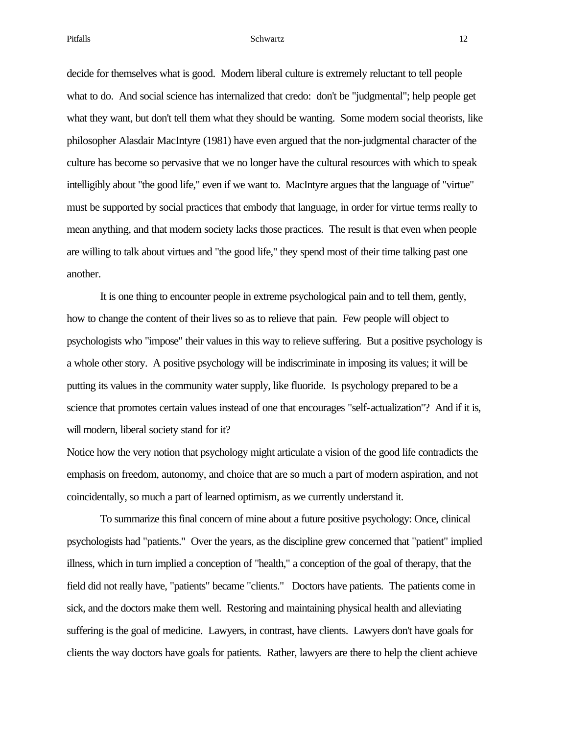decide for themselves what is good. Modern liberal culture is extremely reluctant to tell people what to do. And social science has internalized that credo: don't be "judgmental"; help people get what they want, but don't tell them what they should be wanting. Some modern social theorists, like philosopher Alasdair MacIntyre (1981) have even argued that the non-judgmental character of the culture has become so pervasive that we no longer have the cultural resources with which to speak intelligibly about "the good life," even if we want to. MacIntyre argues that the language of "virtue" must be supported by social practices that embody that language, in order for virtue terms really to mean anything, and that modern society lacks those practices. The result is that even when people are willing to talk about virtues and "the good life," they spend most of their time talking past one another.

It is one thing to encounter people in extreme psychological pain and to tell them, gently, how to change the content of their lives so as to relieve that pain. Few people will object to psychologists who "impose" their values in this way to relieve suffering. But a positive psychology is a whole other story. A positive psychology will be indiscriminate in imposing its values; it will be putting its values in the community water supply, like fluoride. Is psychology prepared to be a science that promotes certain values instead of one that encourages "self-actualization"? And if it is, will modern, liberal society stand for it?

Notice how the very notion that psychology might articulate a vision of the good life contradicts the emphasis on freedom, autonomy, and choice that are so much a part of modern aspiration, and not coincidentally, so much a part of learned optimism, as we currently understand it.

To summarize this final concern of mine about a future positive psychology: Once, clinical psychologists had "patients." Over the years, as the discipline grew concerned that "patient" implied illness, which in turn implied a conception of "health," a conception of the goal of therapy, that the field did not really have, "patients" became "clients." Doctors have patients. The patients come in sick, and the doctors make them well. Restoring and maintaining physical health and alleviating suffering is the goal of medicine. Lawyers, in contrast, have clients. Lawyers don't have goals for clients the way doctors have goals for patients. Rather, lawyers are there to help the client achieve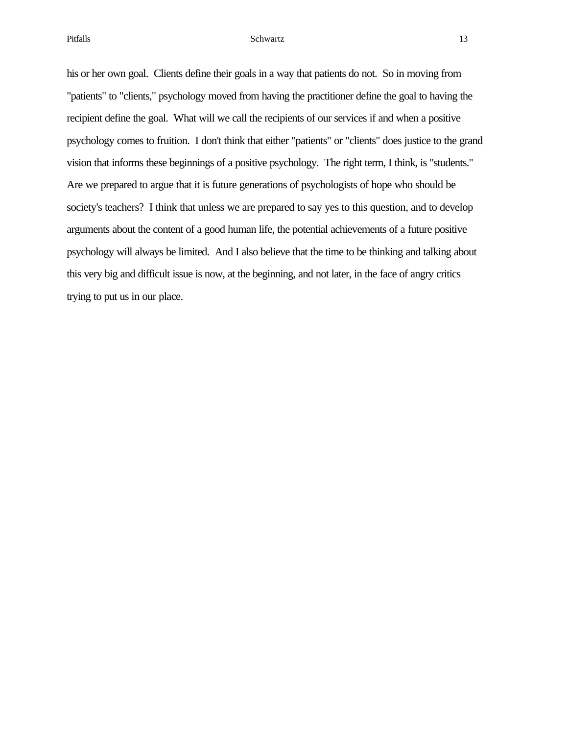his or her own goal. Clients define their goals in a way that patients do not. So in moving from "patients" to "clients," psychology moved from having the practitioner define the goal to having the recipient define the goal. What will we call the recipients of our services if and when a positive psychology comes to fruition. I don't think that either "patients" or "clients" does justice to the grand vision that informs these beginnings of a positive psychology. The right term, I think, is "students." Are we prepared to argue that it is future generations of psychologists of hope who should be society's teachers? I think that unless we are prepared to say yes to this question, and to develop arguments about the content of a good human life, the potential achievements of a future positive psychology will always be limited. And I also believe that the time to be thinking and talking about this very big and difficult issue is now, at the beginning, and not later, in the face of angry critics trying to put us in our place.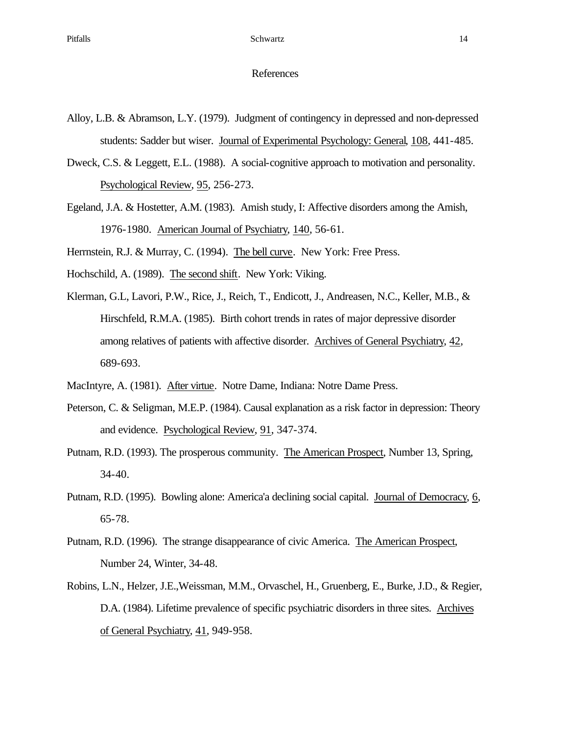## References

- Alloy, L.B. & Abramson, L.Y. (1979). Judgment of contingency in depressed and non-depressed students: Sadder but wiser. Journal of Experimental Psychology: General, 108, 441-485.
- Dweck, C.S. & Leggett, E.L. (1988). A social-cognitive approach to motivation and personality. Psychological Review, 95, 256-273.
- Egeland, J.A. & Hostetter, A.M. (1983). Amish study, I: Affective disorders among the Amish, 1976-1980. American Journal of Psychiatry, 140, 56-61.

Herrnstein, R.J. & Murray, C. (1994). The bell curve. New York: Free Press.

- Hochschild, A. (1989). The second shift. New York: Viking.
- Klerman, G.L, Lavori, P.W., Rice, J., Reich, T., Endicott, J., Andreasen, N.C., Keller, M.B., & Hirschfeld, R.M.A. (1985). Birth cohort trends in rates of major depressive disorder among relatives of patients with affective disorder. Archives of General Psychiatry, 42, 689-693.
- MacIntyre, A. (1981). After virtue. Notre Dame, Indiana: Notre Dame Press.
- Peterson, C. & Seligman, M.E.P. (1984). Causal explanation as a risk factor in depression: Theory and evidence. Psychological Review, 91, 347-374.
- Putnam, R.D. (1993). The prosperous community. The American Prospect, Number 13, Spring, 34-40.
- Putnam, R.D. (1995). Bowling alone: America'a declining social capital. Journal of Democracy, 6, 65-78.
- Putnam, R.D. (1996). The strange disappearance of civic America. The American Prospect, Number 24, Winter, 34-48.
- Robins, L.N., Helzer, J.E.,Weissman, M.M., Orvaschel, H., Gruenberg, E., Burke, J.D., & Regier, D.A. (1984). Lifetime prevalence of specific psychiatric disorders in three sites. Archives of General Psychiatry, 41, 949-958.